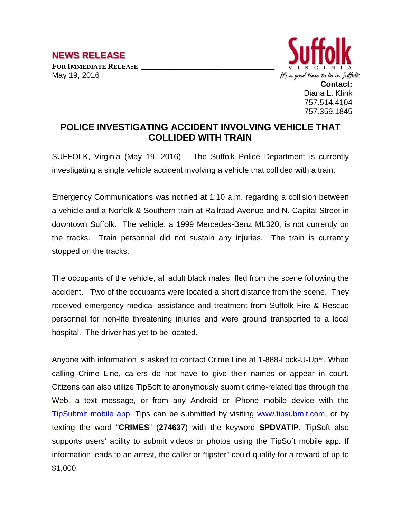

## **POLICE INVESTIGATING ACCIDENT INVOLVING VEHICLE THAT COLLIDED WITH TRAIN**

SUFFOLK, Virginia (May 19, 2016) – The Suffolk Police Department is currently investigating a single vehicle accident involving a vehicle that collided with a train.

Emergency Communications was notified at 1:10 a.m. regarding a collision between a vehicle and a Norfolk & Southern train at Railroad Avenue and N. Capital Street in downtown Suffolk. The vehicle, a 1999 Mercedes-Benz ML320, is not currently on the tracks. Train personnel did not sustain any injuries. The train is currently stopped on the tracks.

The occupants of the vehicle, all adult black males, fled from the scene following the accident. Two of the occupants were located a short distance from the scene. They received emergency medical assistance and treatment from Suffolk Fire & Rescue personnel for non-life threatening injuries and were ground transported to a local hospital. The driver has yet to be located.

Anyone with information is asked to contact Crime Line at 1-888-Lock-U-Up℠. When calling Crime Line, callers do not have to give their names or appear in court. Citizens can also utilize TipSoft to anonymously submit crime-related tips through the Web, a text message, or from any Android or iPhone mobile device with the TipSubmit mobile app. Tips can be submitted by visiting www.tipsubmit.com, or by texting the word "**CRIMES**" (**274637**) with the keyword **SPDVATIP**. TipSoft also supports users' ability to submit videos or photos using the TipSoft mobile app. If information leads to an arrest, the caller or "tipster" could qualify for a reward of up to \$1,000.